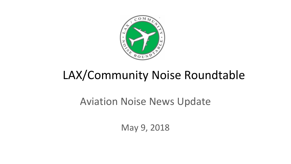

# LAX/Community Noise Roundtable

### Aviation Noise News Update

May 9, 2018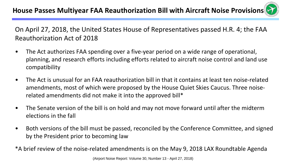On April 27, 2018, the United States House of Representatives passed H.R. 4; the FAA Reauthorization Act of 2018

- The Act authorizes FAA spending over a five-year period on a wide range of operational, planning, and research efforts including efforts related to aircraft noise control and land use compatibility
- The Act is unusual for an FAA reauthorization bill in that it contains at least ten noise-related amendments, most of which were proposed by the House Quiet Skies Caucus. Three noiserelated amendments did not make it into the approved bill\*
- The Senate version of the bill is on hold and may not move forward until after the midterm elections in the fall
- Both versions of the bill must be passed, reconciled by the Conference Committee, and signed by the President prior to becoming law
- \*A brief review of the noise-related amendments is on the May 9, 2018 LAX Roundtable Agenda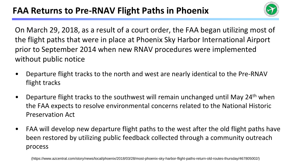

On March 29, 2018, as a result of a court order, the FAA began utilizing most of the flight paths that were in place at Phoenix Sky Harbor International Airport prior to September 2014 when new RNAV procedures were implemented without public notice

- Departure flight tracks to the north and west are nearly identical to the Pre-RNAV flight tracks
- Departure flight tracks to the southwest will remain unchanged until May 24th when the FAA expects to resolve environmental concerns related to the National Historic Preservation Act
- FAA will develop new departure flight paths to the west after the old flight paths have been restored by utilizing public feedback collected through a community outreach process

(https://www.azcentral.com/story/news/local/phoenix/2018/03/28/most-phoenix-sky-harbor-flight-paths-return-old-routes-thursday/467805002/)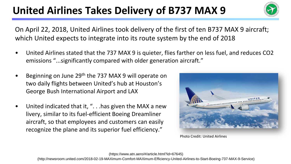## United Airlines Takes Delivery of B737 MAX 9



On April 22, 2018, United Airlines took delivery of the first of ten B737 MAX 9 aircraft; which United expects to integrate into its route system by the end of 2018

- United Airlines stated that the 737 MAX 9 is quieter, flies farther on less fuel, and reduces CO2 emissions "...significantly compared with older generation aircraft."
- Beginning on June 29th the 737 MAX 9 will operate on two daily flights between United's hub at Houston's George Bush International Airport and LAX
- United indicated that it, ". . .has given the MAX a new livery, similar to its fuel-efficient Boeing Dreamliner aircraft, so that employees and customers can easily recognize the plane and its superior fuel efficiency."



Photo Credit: United Airlines

(https://www.atn.aero/#/article.html?id=67645)

(http://newsroom.united.com/2018-02-19-MAXimum-Comfort-MAXimum-Efficiency-United-Airlines-to-Start-Boeing-737-MAX-9-Service)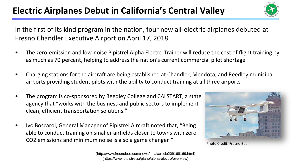### **Electric Airplanes Debut in California's Central Valley**



In the first of its kind program in the nation, four new all-electric airplanes debuted at Fresno Chandler Executive Airport on April 17, 2018

- The zero-emission and low-noise Pipistrel Alpha Electro Trainer will reduce the cost of flight training by as much as 70 percent, helping to address the nation's current commercial pilot shortage
- Charging stations for the aircraft are being established at Chandler, Mendota, and Reedley municipal airports providing student pilots with the ability to conduct training at all three airports
- The program is co-sponsored by Reedley College and CALSTART, a state agency that "works with the business and public sectors to implement clean, efficient transportation solutions."
- Ivo Boscarol, General Manager of Pipistrel Aircraft noted that, "Being able to conduct training on smaller airfields closer to towns with zero CO2 emissions and minimum noise is also a game changer!"



Photo Credit: Fresno Bee

(http://www.fresnobee.com/news/local/article209168169.html) (https://www.pipistrel.si/plane/alpha-electro/overview)